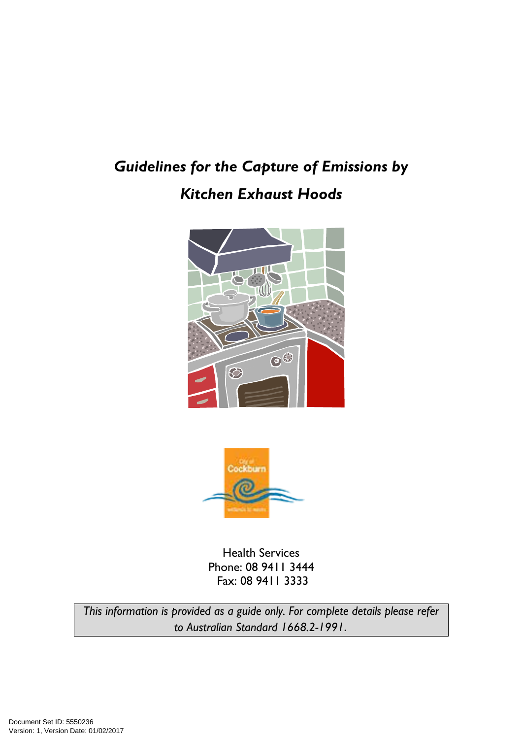# Guidelines for the Capture of Emissions by Kitchen Exhaust Hoods





Health Services Phone: 08 9411 3444 Fax: 08 9411 3333

This information is provided as a guide only. For complete details please refer to Australian Standard 1668.2-1991.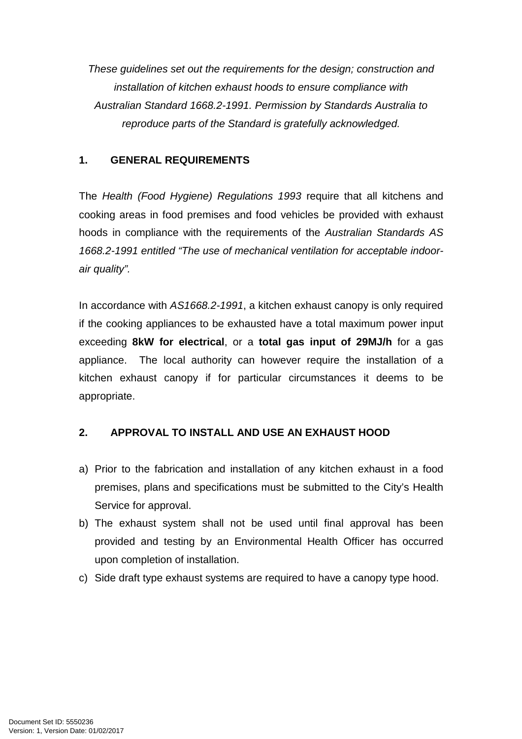These guidelines set out the requirements for the design; construction and installation of kitchen exhaust hoods to ensure compliance with Australian Standard 1668.2-1991. Permission by Standards Australia to reproduce parts of the Standard is gratefully acknowledged.

#### **1. GENERAL REQUIREMENTS**

The Health (Food Hygiene) Regulations 1993 require that all kitchens and cooking areas in food premises and food vehicles be provided with exhaust hoods in compliance with the requirements of the Australian Standards AS 1668.2-1991 entitled "The use of mechanical ventilation for acceptable indoorair quality".

In accordance with AS1668.2-1991, a kitchen exhaust canopy is only required if the cooking appliances to be exhausted have a total maximum power input exceeding **8kW for electrical**, or a **total gas input of 29MJ/h** for a gas appliance. The local authority can however require the installation of a kitchen exhaust canopy if for particular circumstances it deems to be appropriate.

# **2. APPROVAL TO INSTALL AND USE AN EXHAUST HOOD**

- a) Prior to the fabrication and installation of any kitchen exhaust in a food premises, plans and specifications must be submitted to the City's Health Service for approval.
- b) The exhaust system shall not be used until final approval has been provided and testing by an Environmental Health Officer has occurred upon completion of installation.
- c) Side draft type exhaust systems are required to have a canopy type hood.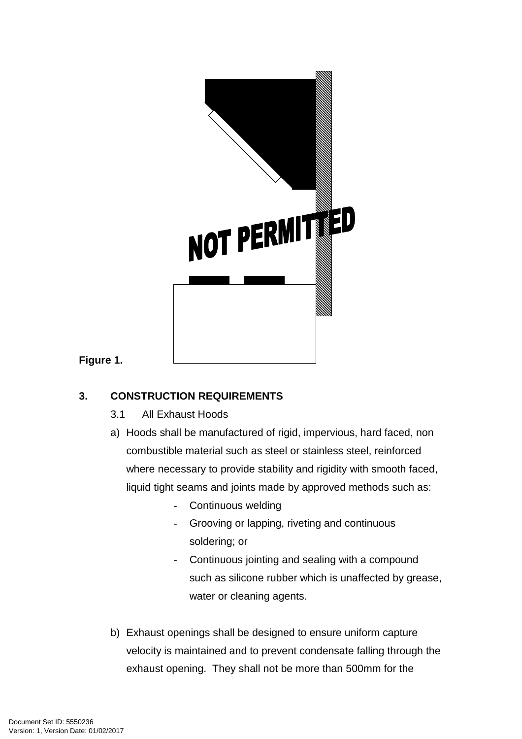

#### **Figure 1.**

# **3. CONSTRUCTION REQUIREMENTS**

- 3.1 All Exhaust Hoods
- a) Hoods shall be manufactured of rigid, impervious, hard faced, non combustible material such as steel or stainless steel, reinforced where necessary to provide stability and rigidity with smooth faced, liquid tight seams and joints made by approved methods such as:
	- Continuous welding
	- Grooving or lapping, riveting and continuous soldering; or
	- Continuous jointing and sealing with a compound such as silicone rubber which is unaffected by grease, water or cleaning agents.
- b) Exhaust openings shall be designed to ensure uniform capture velocity is maintained and to prevent condensate falling through the exhaust opening. They shall not be more than 500mm for the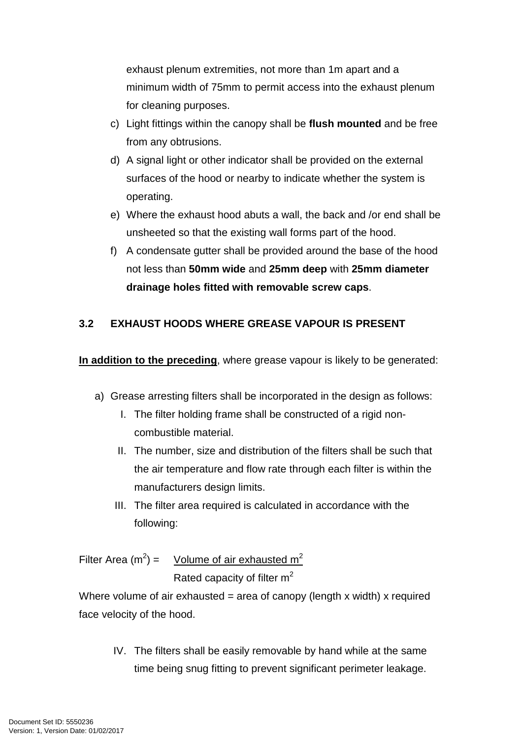exhaust plenum extremities, not more than 1m apart and a minimum width of 75mm to permit access into the exhaust plenum for cleaning purposes.

- c) Light fittings within the canopy shall be **flush mounted** and be free from any obtrusions.
- d) A signal light or other indicator shall be provided on the external surfaces of the hood or nearby to indicate whether the system is operating.
- e) Where the exhaust hood abuts a wall, the back and /or end shall be unsheeted so that the existing wall forms part of the hood.
- f) A condensate gutter shall be provided around the base of the hood not less than **50mm wide** and **25mm deep** with **25mm diameter drainage holes fitted with removable screw caps**.

#### **3.2 EXHAUST HOODS WHERE GREASE VAPOUR IS PRESENT**

**In addition to the preceding**, where grease vapour is likely to be generated:

- a) Grease arresting filters shall be incorporated in the design as follows:
	- I. The filter holding frame shall be constructed of a rigid noncombustible material.
	- II. The number, size and distribution of the filters shall be such that the air temperature and flow rate through each filter is within the manufacturers design limits.
	- III. The filter area required is calculated in accordance with the following:

Filter Area (m<sup>2</sup>) = Volume of air exhausted m<sup>2</sup> Rated capacity of filter  $m^2$ 

Where volume of air exhausted = area of canopy (length x width) x required face velocity of the hood.

IV. The filters shall be easily removable by hand while at the same time being snug fitting to prevent significant perimeter leakage.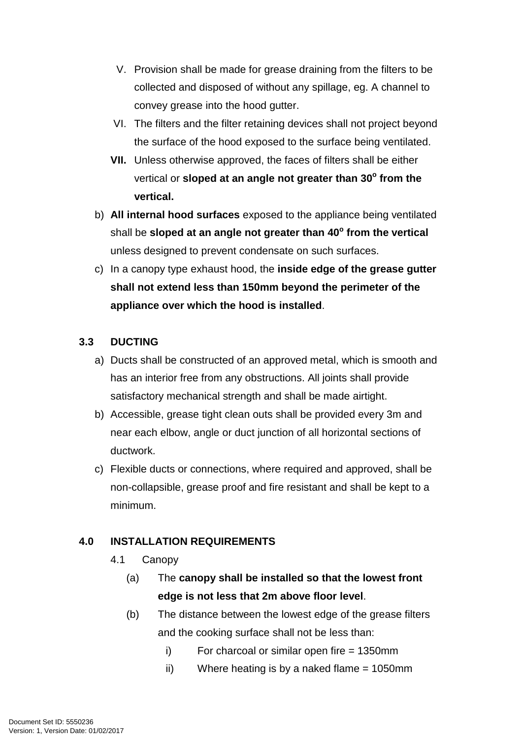- V. Provision shall be made for grease draining from the filters to be collected and disposed of without any spillage, eg. A channel to convey grease into the hood gutter.
- VI. The filters and the filter retaining devices shall not project beyond the surface of the hood exposed to the surface being ventilated.
- **VII.** Unless otherwise approved, the faces of filters shall be either vertical or **sloped at an angle not greater than 30<sup>o</sup> from the vertical.**
- b) **All internal hood surfaces** exposed to the appliance being ventilated shall be **sloped at an angle not greater than 40<sup>o</sup> from the vertical** unless designed to prevent condensate on such surfaces.
- c) In a canopy type exhaust hood, the **inside edge of the grease gutter shall not extend less than 150mm beyond the perimeter of the appliance over which the hood is installed**.

#### **3.3 DUCTING**

- a) Ducts shall be constructed of an approved metal, which is smooth and has an interior free from any obstructions. All joints shall provide satisfactory mechanical strength and shall be made airtight.
- b) Accessible, grease tight clean outs shall be provided every 3m and near each elbow, angle or duct junction of all horizontal sections of ductwork.
- c) Flexible ducts or connections, where required and approved, shall be non-collapsible, grease proof and fire resistant and shall be kept to a minimum.

#### **4.0 INSTALLATION REQUIREMENTS**

- 4.1 Canopy
	- (a) The **canopy shall be installed so that the lowest front edge is not less that 2m above floor level**.
	- (b) The distance between the lowest edge of the grease filters and the cooking surface shall not be less than:
		- $i)$  For charcoal or similar open fire = 1350mm
		- ii) Where heating is by a naked flame  $= 1050$ mm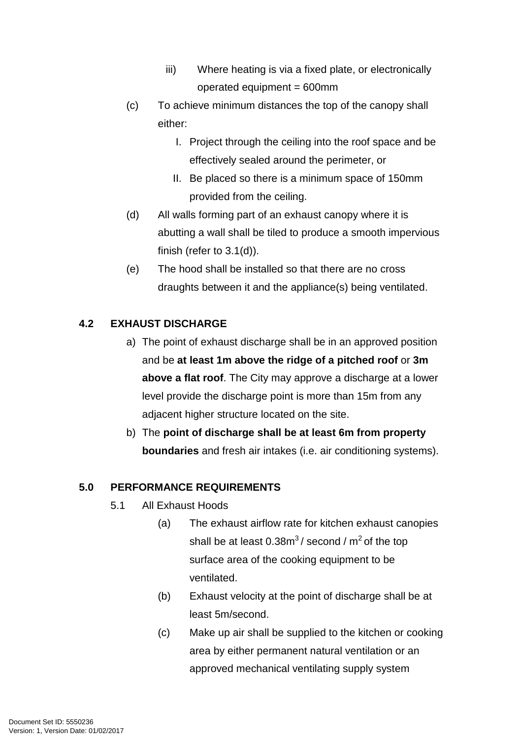- iii) Where heating is via a fixed plate, or electronically operated equipment = 600mm
- (c) To achieve minimum distances the top of the canopy shall either:
	- I. Project through the ceiling into the roof space and be effectively sealed around the perimeter, or
	- II. Be placed so there is a minimum space of 150mm provided from the ceiling.
- (d) All walls forming part of an exhaust canopy where it is abutting a wall shall be tiled to produce a smooth impervious finish (refer to 3.1(d)).
- (e) The hood shall be installed so that there are no cross draughts between it and the appliance(s) being ventilated.

# **4.2 EXHAUST DISCHARGE**

- a) The point of exhaust discharge shall be in an approved position and be **at least 1m above the ridge of a pitched roof** or **3m above a flat roof**. The City may approve a discharge at a lower level provide the discharge point is more than 15m from any adjacent higher structure located on the site.
- b) The **point of discharge shall be at least 6m from property boundaries** and fresh air intakes (i.e. air conditioning systems).

# **5.0 PERFORMANCE REQUIREMENTS**

- 5.1 All Exhaust Hoods
	- (a) The exhaust airflow rate for kitchen exhaust canopies shall be at least  $0.38m<sup>3</sup>$ / second /  $m<sup>2</sup>$  of the top surface area of the cooking equipment to be ventilated.
	- (b) Exhaust velocity at the point of discharge shall be at least 5m/second.
	- (c) Make up air shall be supplied to the kitchen or cooking area by either permanent natural ventilation or an approved mechanical ventilating supply system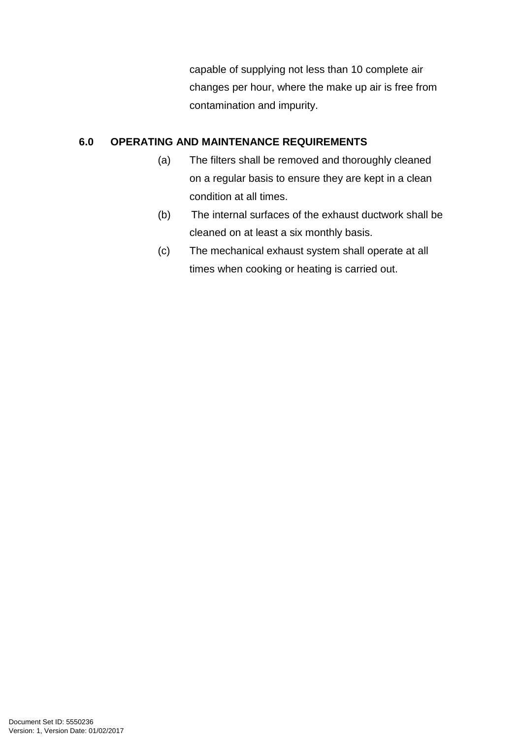capable of supplying not less than 10 complete air changes per hour, where the make up air is free from contamination and impurity.

#### **6.0 OPERATING AND MAINTENANCE REQUIREMENTS**

- (a) The filters shall be removed and thoroughly cleaned on a regular basis to ensure they are kept in a clean condition at all times.
- (b) The internal surfaces of the exhaust ductwork shall be cleaned on at least a six monthly basis.
- (c) The mechanical exhaust system shall operate at all times when cooking or heating is carried out.